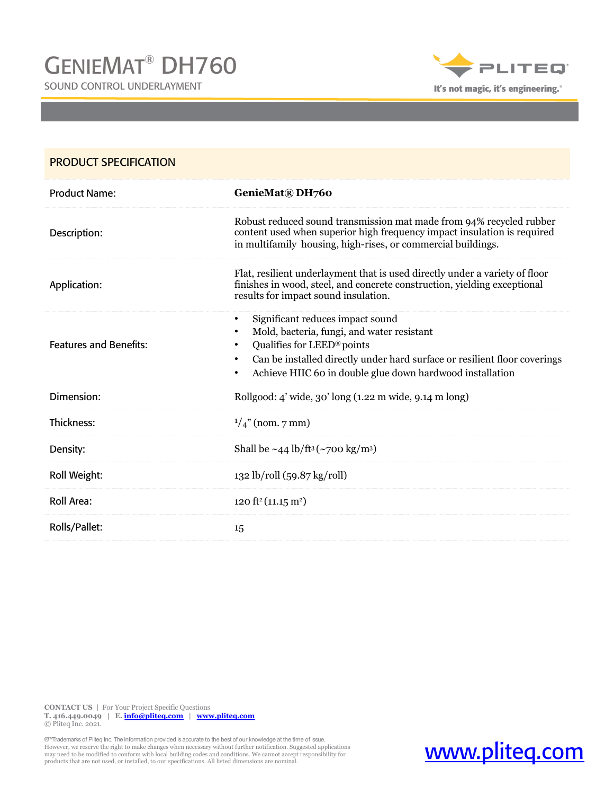SOUND CONTROL UNDERLAYMENT



| <b>PRODUCT SPECIFICATION</b>  |                                                                                                                                                                                                                                                                                               |
|-------------------------------|-----------------------------------------------------------------------------------------------------------------------------------------------------------------------------------------------------------------------------------------------------------------------------------------------|
| <b>Product Name:</b>          | GenieMat® DH760                                                                                                                                                                                                                                                                               |
| Description:                  | Robust reduced sound transmission mat made from 94% recycled rubber<br>content used when superior high frequency impact insulation is required<br>in multifamily housing, high-rises, or commercial buildings.                                                                                |
| Application:                  | Flat, resilient underlayment that is used directly under a variety of floor<br>finishes in wood, steel, and concrete construction, yielding exceptional<br>results for impact sound insulation.                                                                                               |
| <b>Features and Benefits:</b> | Significant reduces impact sound<br>Mold, bacteria, fungi, and water resistant<br>Qualifies for LEED® points<br>$\bullet$<br>Can be installed directly under hard surface or resilient floor coverings<br>$\bullet$<br>Achieve HIIC 60 in double glue down hardwood installation<br>$\bullet$ |
| Dimension:                    | Rollgood: 4' wide, 30' long (1.22 m wide, 9.14 m long)                                                                                                                                                                                                                                        |
| Thickness:                    | $\frac{1}{4}$ " (nom. 7 mm)                                                                                                                                                                                                                                                                   |
| Density:                      | Shall be $\sim$ 44 lb/ft <sup>3</sup> ( $\sim$ 700 kg/m <sup>3</sup> )                                                                                                                                                                                                                        |
| Roll Weight:                  | 132 lb/roll (59.87 kg/roll)                                                                                                                                                                                                                                                                   |
| <b>Roll Area:</b>             | 120 ft <sup>2</sup> (11.15 m <sup>2</sup> )                                                                                                                                                                                                                                                   |
| Rolls/Pallet:                 | 15                                                                                                                                                                                                                                                                                            |

**CONTACT US |** For Your Project Specific Questions **T. 416.449.0049 | E. [info@pliteq.com](mailto:info@pliteq.com) | [www.pliteq.com](http://www.pliteq.com/)** © Pliteq Inc. 2021.

Trademarks of Pliteq Inc. The information provided is accurate to the best of our knowledge at the time of issue.<br>However, we reserve the right to make changes when necessary without further notification. Suggested applica